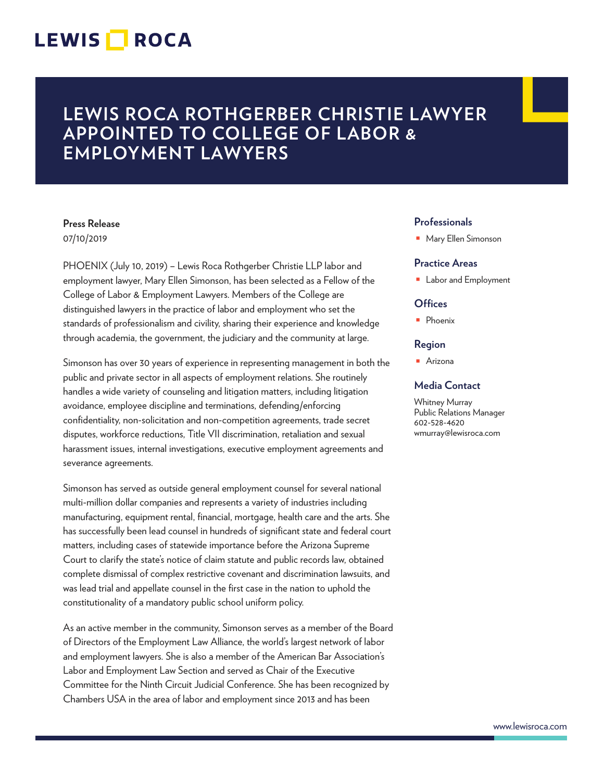## LEWIS **NOCA**

## **LEWIS ROCA ROTHGERBER CHRISTIE LAWYER APPOINTED TO COLLEGE OF LABOR & EMPLOYMENT LAWYERS**

### **Press Release**

07/10/2019

PHOENIX (July 10, 2019) – Lewis Roca Rothgerber Christie LLP labor and employment lawyer, Mary Ellen Simonson, has been selected as a Fellow of the College of Labor & Employment Lawyers. Members of the College are distinguished lawyers in the practice of labor and employment who set the standards of professionalism and civility, sharing their experience and knowledge through academia, the government, the judiciary and the community at large.

Simonson has over 30 years of experience in representing management in both the public and private sector in all aspects of employment relations. She routinely handles a wide variety of counseling and litigation matters, including litigation avoidance, employee discipline and terminations, defending/enforcing confidentiality, non-solicitation and non-competition agreements, trade secret disputes, workforce reductions, Title VII discrimination, retaliation and sexual harassment issues, internal investigations, executive employment agreements and severance agreements.

Simonson has served as outside general employment counsel for several national multi-million dollar companies and represents a variety of industries including manufacturing, equipment rental, financial, mortgage, health care and the arts. She has successfully been lead counsel in hundreds of significant state and federal court matters, including cases of statewide importance before the Arizona Supreme Court to clarify the state's notice of claim statute and public records law, obtained complete dismissal of complex restrictive covenant and discrimination lawsuits, and was lead trial and appellate counsel in the first case in the nation to uphold the constitutionality of a mandatory public school uniform policy.

As an active member in the community, Simonson serves as a member of the Board of Directors of the Employment Law Alliance, the world's largest network of labor and employment lawyers. She is also a member of the American Bar Association's Labor and Employment Law Section and served as Chair of the Executive Committee for the Ninth Circuit Judicial Conference. She has been recognized by Chambers USA in the area of labor and employment since 2013 and has been

#### **Professionals**

■ Mary Ellen Simonson

#### **Practice Areas**

■ Labor and Employment

#### **Offices**

■ Phoenix

#### **Region**

■ Arizona

#### **Media Contact**

Whitney Murray Public Relations Manager 602-528-4620 wmurray@lewisroca.com